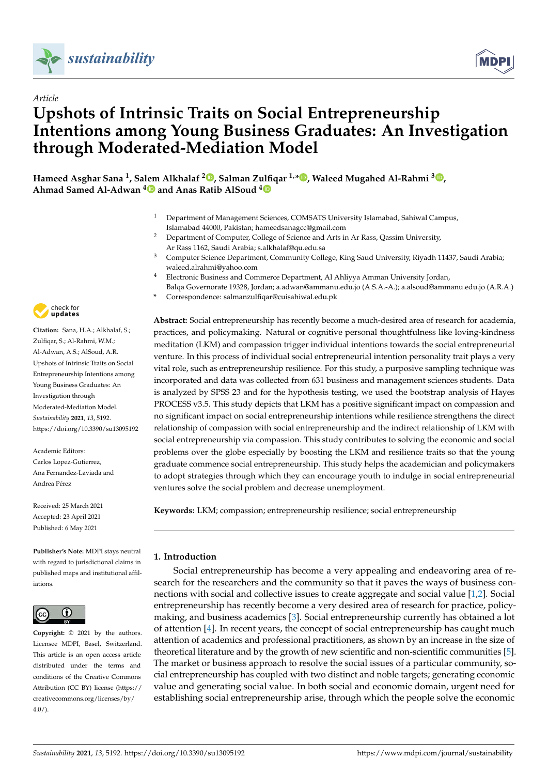



# **Upshots of Intrinsic Traits on Social Entrepreneurship Intentions among Young Business Graduates: An Investigation through Moderated-Mediation Model**

**Hameed Asghar Sana <sup>1</sup> , Salem Alkhalaf <sup>2</sup> [,](https://orcid.org/0000-0002-5900-6752) Salman Zulfiqar 1,[\\*](https://orcid.org/0000-0002-5299-7645) , Waleed Mugahed Al-Rahmi <sup>3</sup> [,](https://orcid.org/0000-0002-0980-7439) Ahmad Samed Al-Adwan [4](https://orcid.org/0000-0001-5688-1503) and Anas Ratib AlSoud [4](https://orcid.org/0000-0002-1410-8843)**

- <sup>1</sup> Department of Management Sciences, COMSATS University Islamabad, Sahiwal Campus, Islamabad 44000, Pakistan; hameedsanagcc@gmail.com
- <sup>2</sup> Department of Computer, College of Science and Arts in Ar Rass, Qassim University, Ar Rass 1162, Saudi Arabia; s.alkhalaf@qu.edu.sa
- <sup>3</sup> Computer Science Department, Community College, King Saud University, Riyadh 11437, Saudi Arabia; waleed.alrahmi@yahoo.com
- <sup>4</sup> Electronic Business and Commerce Department, Al Ahliyya Amman University Jordan,
- Balqa Governorate 19328, Jordan; a.adwan@ammanu.edu.jo (A.S.A.-A.); a.alsoud@ammanu.edu.jo (A.R.A.)
	- **\*** Correspondence: salmanzulfiqar@cuisahiwal.edu.pk

**Abstract:** Social entrepreneurship has recently become a much-desired area of research for academia, practices, and policymaking. Natural or cognitive personal thoughtfulness like loving-kindness meditation (LKM) and compassion trigger individual intentions towards the social entrepreneurial venture. In this process of individual social entrepreneurial intention personality trait plays a very vital role, such as entrepreneurship resilience. For this study, a purposive sampling technique was incorporated and data was collected from 631 business and management sciences students. Data is analyzed by SPSS 23 and for the hypothesis testing, we used the bootstrap analysis of Hayes PROCESS v3.5. This study depicts that LKM has a positive significant impact on compassion and no significant impact on social entrepreneurship intentions while resilience strengthens the direct relationship of compassion with social entrepreneurship and the indirect relationship of LKM with social entrepreneurship via compassion. This study contributes to solving the economic and social problems over the globe especially by boosting the LKM and resilience traits so that the young graduate commence social entrepreneurship. This study helps the academician and policymakers to adopt strategies through which they can encourage youth to indulge in social entrepreneurial ventures solve the social problem and decrease unemployment.

**Keywords:** LKM; compassion; entrepreneurship resilience; social entrepreneurship

# **1. Introduction**

Social entrepreneurship has become a very appealing and endeavoring area of research for the researchers and the community so that it paves the ways of business connections with social and collective issues to create aggregate and social value [\[1](#page-21-0)[,2\]](#page-21-1). Social entrepreneurship has recently become a very desired area of research for practice, policymaking, and business academics [\[3\]](#page-21-2). Social entrepreneurship currently has obtained a lot of attention [\[4\]](#page-21-3). In recent years, the concept of social entrepreneurship has caught much attention of academics and professional practitioners, as shown by an increase in the size of theoretical literature and by the growth of new scientific and non-scientific communities [\[5\]](#page-21-4). The market or business approach to resolve the social issues of a particular community, social entrepreneurship has coupled with two distinct and noble targets; generating economic value and generating social value. In both social and economic domain, urgent need for establishing social entrepreneurship arise, through which the people solve the economic



*Article*

**Citation:** Sana, H.A.; Alkhalaf, S.; Zulfiqar, S.; Al-Rahmi, W.M.; Al-Adwan, A.S.; AlSoud, A.R. Upshots of Intrinsic Traits on Social Entrepreneurship Intentions among Young Business Graduates: An Investigation through Moderated-Mediation Model. *Sustainability* **2021**, *13*, 5192. <https://doi.org/10.3390/su13095192>

Academic Editors: Carlos Lopez-Gutierrez, Ana Fernandez-Laviada and Andrea Pérez

Received: 25 March 2021 Accepted: 23 April 2021 Published: 6 May 2021

**Publisher's Note:** MDPI stays neutral with regard to jurisdictional claims in published maps and institutional affiliations.



**Copyright:** © 2021 by the authors. Licensee MDPI, Basel, Switzerland. This article is an open access article distributed under the terms and conditions of the Creative Commons Attribution (CC BY) license (https:/[/](https://creativecommons.org/licenses/by/4.0/) [creativecommons.org/licenses/by/](https://creativecommons.org/licenses/by/4.0/)  $4.0/$ ).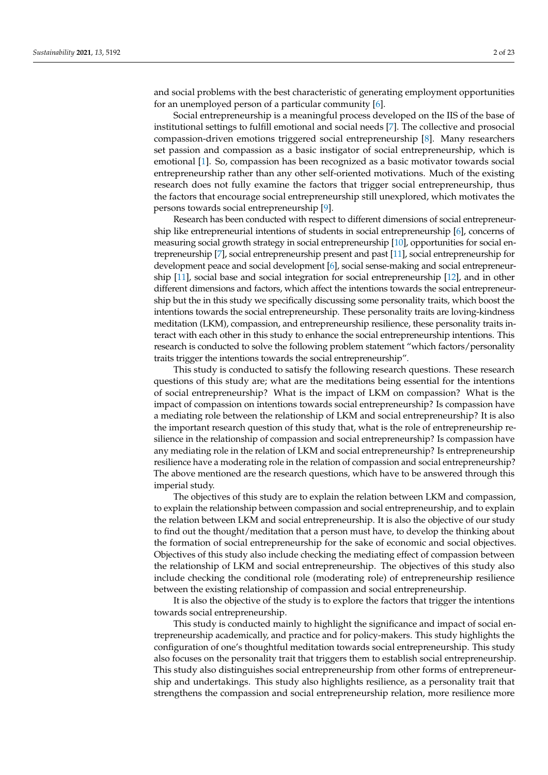and social problems with the best characteristic of generating employment opportunities for an unemployed person of a particular community [\[6\]](#page-21-5).

Social entrepreneurship is a meaningful process developed on the IIS of the base of institutional settings to fulfill emotional and social needs [\[7\]](#page-21-6). The collective and prosocial compassion-driven emotions triggered social entrepreneurship [\[8\]](#page-21-7). Many researchers set passion and compassion as a basic instigator of social entrepreneurship, which is emotional [\[1\]](#page-21-0). So, compassion has been recognized as a basic motivator towards social entrepreneurship rather than any other self-oriented motivations. Much of the existing research does not fully examine the factors that trigger social entrepreneurship, thus the factors that encourage social entrepreneurship still unexplored, which motivates the persons towards social entrepreneurship [\[9\]](#page-21-8).

Research has been conducted with respect to different dimensions of social entrepreneurship like entrepreneurial intentions of students in social entrepreneurship [\[6\]](#page-21-5), concerns of measuring social growth strategy in social entrepreneurship [\[10\]](#page-21-9), opportunities for social entrepreneurship [\[7\]](#page-21-6), social entrepreneurship present and past [\[11\]](#page-21-10), social entrepreneurship for development peace and social development [\[6\]](#page-21-5), social sense-making and social entrepreneurship [\[11\]](#page-21-10), social base and social integration for social entrepreneurship [\[12\]](#page-21-11), and in other different dimensions and factors, which affect the intentions towards the social entrepreneurship but the in this study we specifically discussing some personality traits, which boost the intentions towards the social entrepreneurship. These personality traits are loving-kindness meditation (LKM), compassion, and entrepreneurship resilience, these personality traits interact with each other in this study to enhance the social entrepreneurship intentions. This research is conducted to solve the following problem statement "which factors/personality traits trigger the intentions towards the social entrepreneurship".

This study is conducted to satisfy the following research questions. These research questions of this study are; what are the meditations being essential for the intentions of social entrepreneurship? What is the impact of LKM on compassion? What is the impact of compassion on intentions towards social entrepreneurship? Is compassion have a mediating role between the relationship of LKM and social entrepreneurship? It is also the important research question of this study that, what is the role of entrepreneurship resilience in the relationship of compassion and social entrepreneurship? Is compassion have any mediating role in the relation of LKM and social entrepreneurship? Is entrepreneurship resilience have a moderating role in the relation of compassion and social entrepreneurship? The above mentioned are the research questions, which have to be answered through this imperial study.

The objectives of this study are to explain the relation between LKM and compassion, to explain the relationship between compassion and social entrepreneurship, and to explain the relation between LKM and social entrepreneurship. It is also the objective of our study to find out the thought/meditation that a person must have, to develop the thinking about the formation of social entrepreneurship for the sake of economic and social objectives. Objectives of this study also include checking the mediating effect of compassion between the relationship of LKM and social entrepreneurship. The objectives of this study also include checking the conditional role (moderating role) of entrepreneurship resilience between the existing relationship of compassion and social entrepreneurship.

It is also the objective of the study is to explore the factors that trigger the intentions towards social entrepreneurship.

This study is conducted mainly to highlight the significance and impact of social entrepreneurship academically, and practice and for policy-makers. This study highlights the configuration of one's thoughtful meditation towards social entrepreneurship. This study also focuses on the personality trait that triggers them to establish social entrepreneurship. This study also distinguishes social entrepreneurship from other forms of entrepreneurship and undertakings. This study also highlights resilience, as a personality trait that strengthens the compassion and social entrepreneurship relation, more resilience more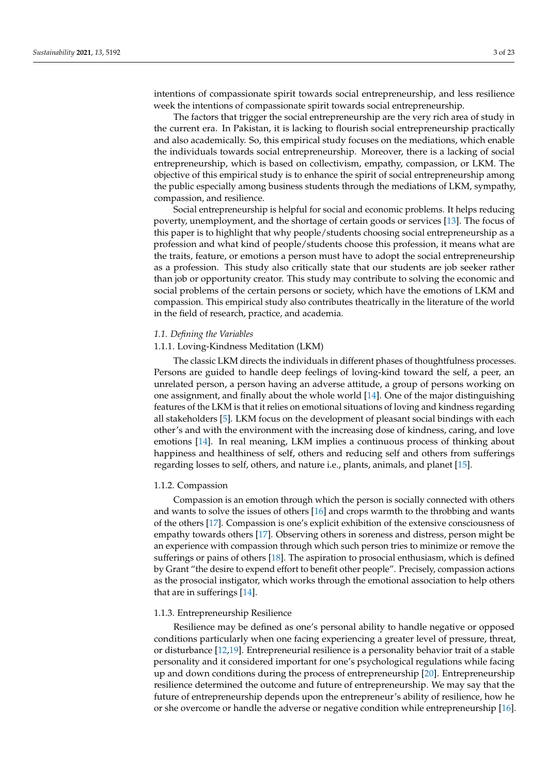intentions of compassionate spirit towards social entrepreneurship, and less resilience week the intentions of compassionate spirit towards social entrepreneurship.

The factors that trigger the social entrepreneurship are the very rich area of study in the current era. In Pakistan, it is lacking to flourish social entrepreneurship practically and also academically. So, this empirical study focuses on the mediations, which enable the individuals towards social entrepreneurship. Moreover, there is a lacking of social entrepreneurship, which is based on collectivism, empathy, compassion, or LKM. The objective of this empirical study is to enhance the spirit of social entrepreneurship among the public especially among business students through the mediations of LKM, sympathy, compassion, and resilience.

Social entrepreneurship is helpful for social and economic problems. It helps reducing poverty, unemployment, and the shortage of certain goods or services [\[13\]](#page-21-12). The focus of this paper is to highlight that why people/students choosing social entrepreneurship as a profession and what kind of people/students choose this profession, it means what are the traits, feature, or emotions a person must have to adopt the social entrepreneurship as a profession. This study also critically state that our students are job seeker rather than job or opportunity creator. This study may contribute to solving the economic and social problems of the certain persons or society, which have the emotions of LKM and compassion. This empirical study also contributes theatrically in the literature of the world in the field of research, practice, and academia.

## *1.1. Defining the Variables*

## 1.1.1. Loving-Kindness Meditation (LKM)

The classic LKM directs the individuals in different phases of thoughtfulness processes. Persons are guided to handle deep feelings of loving-kind toward the self, a peer, an unrelated person, a person having an adverse attitude, a group of persons working on one assignment, and finally about the whole world [\[14\]](#page-21-13). One of the major distinguishing features of the LKM is that it relies on emotional situations of loving and kindness regarding all stakeholders [\[5\]](#page-21-4). LKM focus on the development of pleasant social bindings with each other's and with the environment with the increasing dose of kindness, caring, and love emotions [\[14\]](#page-21-13). In real meaning, LKM implies a continuous process of thinking about happiness and healthiness of self, others and reducing self and others from sufferings regarding losses to self, others, and nature i.e., plants, animals, and planet [\[15\]](#page-21-14).

#### 1.1.2. Compassion

Compassion is an emotion through which the person is socially connected with others and wants to solve the issues of others [\[16\]](#page-21-15) and crops warmth to the throbbing and wants of the others [\[17\]](#page-21-16). Compassion is one's explicit exhibition of the extensive consciousness of empathy towards others [\[17\]](#page-21-16). Observing others in soreness and distress, person might be an experience with compassion through which such person tries to minimize or remove the sufferings or pains of others [\[18\]](#page-21-17). The aspiration to prosocial enthusiasm, which is defined by Grant "the desire to expend effort to benefit other people". Precisely, compassion actions as the prosocial instigator, which works through the emotional association to help others that are in sufferings [\[14\]](#page-21-13).

## 1.1.3. Entrepreneurship Resilience

Resilience may be defined as one's personal ability to handle negative or opposed conditions particularly when one facing experiencing a greater level of pressure, threat, or disturbance [\[12,](#page-21-11)[19\]](#page-21-18). Entrepreneurial resilience is a personality behavior trait of a stable personality and it considered important for one's psychological regulations while facing up and down conditions during the process of entrepreneurship [\[20\]](#page-21-19). Entrepreneurship resilience determined the outcome and future of entrepreneurship. We may say that the future of entrepreneurship depends upon the entrepreneur's ability of resilience, how he or she overcome or handle the adverse or negative condition while entrepreneurship [\[16\]](#page-21-15).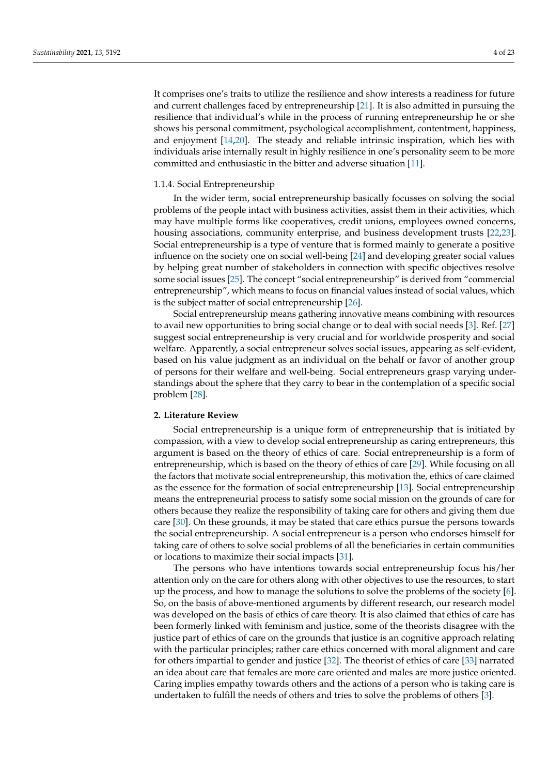It comprises one's traits to utilize the resilience and show interests a readiness for future and current challenges faced by entrepreneurship [\[21\]](#page-21-20). It is also admitted in pursuing the resilience that individual's while in the process of running entrepreneurship he or she shows his personal commitment, psychological accomplishment, contentment, happiness, and enjoyment [\[14,](#page-21-13)[20\]](#page-21-19). The steady and reliable intrinsic inspiration, which lies with individuals arise internally result in highly resilience in one's personality seem to be more committed and enthusiastic in the bitter and adverse situation [\[11\]](#page-21-10).

#### 1.1.4. Social Entrepreneurship

In the wider term, social entrepreneurship basically focusses on solving the social problems of the people intact with business activities, assist them in their activities, which may have multiple forms like cooperatives, credit unions, employees owned concerns, housing associations, community enterprise, and business development trusts [\[22,](#page-21-21)[23\]](#page-21-22). Social entrepreneurship is a type of venture that is formed mainly to generate a positive influence on the society one on social well-being [\[24\]](#page-21-23) and developing greater social values by helping great number of stakeholders in connection with specific objectives resolve some social issues [\[25\]](#page-21-24). The concept "social entrepreneurship" is derived from "commercial entrepreneurship", which means to focus on financial values instead of social values, which is the subject matter of social entrepreneurship [\[26\]](#page-21-25).

Social entrepreneurship means gathering innovative means combining with resources to avail new opportunities to bring social change or to deal with social needs [\[3\]](#page-21-2). Ref. [\[27\]](#page-21-26) suggest social entrepreneurship is very crucial and for worldwide prosperity and social welfare. Apparently, a social entrepreneur solves social issues, appearing as self-evident, based on his value judgment as an individual on the behalf or favor of another group of persons for their welfare and well-being. Social entrepreneurs grasp varying understandings about the sphere that they carry to bear in the contemplation of a specific social problem [\[28\]](#page-21-27).

#### **2. Literature Review**

Social entrepreneurship is a unique form of entrepreneurship that is initiated by compassion, with a view to develop social entrepreneurship as caring entrepreneurs, this argument is based on the theory of ethics of care. Social entrepreneurship is a form of entrepreneurship, which is based on the theory of ethics of care [\[29\]](#page-22-0). While focusing on all the factors that motivate social entrepreneurship, this motivation the, ethics of care claimed as the essence for the formation of social entrepreneurship [\[13\]](#page-21-12). Social entrepreneurship means the entrepreneurial process to satisfy some social mission on the grounds of care for others because they realize the responsibility of taking care for others and giving them due care [\[30\]](#page-22-1). On these grounds, it may be stated that care ethics pursue the persons towards the social entrepreneurship. A social entrepreneur is a person who endorses himself for taking care of others to solve social problems of all the beneficiaries in certain communities or locations to maximize their social impacts [\[31\]](#page-22-2).

The persons who have intentions towards social entrepreneurship focus his/her attention only on the care for others along with other objectives to use the resources, to start up the process, and how to manage the solutions to solve the problems of the society [\[6\]](#page-21-5). So, on the basis of above-mentioned arguments by different research, our research model was developed on the basis of ethics of care theory. It is also claimed that ethics of care has been formerly linked with feminism and justice, some of the theorists disagree with the justice part of ethics of care on the grounds that justice is an cognitive approach relating with the particular principles; rather care ethics concerned with moral alignment and care for others impartial to gender and justice [\[32\]](#page-22-3). The theorist of ethics of care [\[33\]](#page-22-4) narrated an idea about care that females are more care oriented and males are more justice oriented. Caring implies empathy towards others and the actions of a person who is taking care is undertaken to fulfill the needs of others and tries to solve the problems of others [\[3\]](#page-21-2).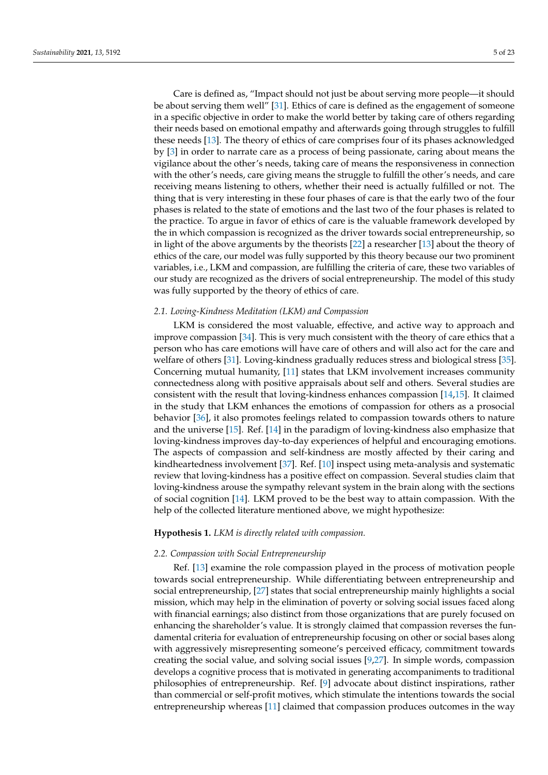Care is defined as, "Impact should not just be about serving more people—it should be about serving them well" [\[31\]](#page-22-2). Ethics of care is defined as the engagement of someone in a specific objective in order to make the world better by taking care of others regarding their needs based on emotional empathy and afterwards going through struggles to fulfill these needs [\[13\]](#page-21-12). The theory of ethics of care comprises four of its phases acknowledged by [\[3\]](#page-21-2) in order to narrate care as a process of being passionate, caring about means the vigilance about the other's needs, taking care of means the responsiveness in connection with the other's needs, care giving means the struggle to fulfill the other's needs, and care receiving means listening to others, whether their need is actually fulfilled or not. The thing that is very interesting in these four phases of care is that the early two of the four phases is related to the state of emotions and the last two of the four phases is related to the practice. To argue in favor of ethics of care is the valuable framework developed by the in which compassion is recognized as the driver towards social entrepreneurship, so in light of the above arguments by the theorists [\[22\]](#page-21-21) a researcher [\[13\]](#page-21-12) about the theory of ethics of the care, our model was fully supported by this theory because our two prominent variables, i.e., LKM and compassion, are fulfilling the criteria of care, these two variables of our study are recognized as the drivers of social entrepreneurship. The model of this study was fully supported by the theory of ethics of care.

#### *2.1. Loving-Kindness Meditation (LKM) and Compassion*

LKM is considered the most valuable, effective, and active way to approach and improve compassion [\[34\]](#page-22-5). This is very much consistent with the theory of care ethics that a person who has care emotions will have care of others and will also act for the care and welfare of others [\[31\]](#page-22-2). Loving-kindness gradually reduces stress and biological stress [\[35\]](#page-22-6). Concerning mutual humanity, [\[11\]](#page-21-10) states that LKM involvement increases community connectedness along with positive appraisals about self and others. Several studies are consistent with the result that loving-kindness enhances compassion [\[14,](#page-21-13)[15\]](#page-21-14). It claimed in the study that LKM enhances the emotions of compassion for others as a prosocial behavior [\[36\]](#page-22-7), it also promotes feelings related to compassion towards others to nature and the universe [\[15\]](#page-21-14). Ref. [\[14\]](#page-21-13) in the paradigm of loving-kindness also emphasize that loving-kindness improves day-to-day experiences of helpful and encouraging emotions. The aspects of compassion and self-kindness are mostly affected by their caring and kindheartedness involvement [\[37\]](#page-22-8). Ref. [\[10\]](#page-21-9) inspect using meta-analysis and systematic review that loving-kindness has a positive effect on compassion. Several studies claim that loving-kindness arouse the sympathy relevant system in the brain along with the sections of social cognition [\[14\]](#page-21-13). LKM proved to be the best way to attain compassion. With the help of the collected literature mentioned above, we might hypothesize:

#### **Hypothesis 1.** *LKM is directly related with compassion.*

#### *2.2. Compassion with Social Entrepreneurship*

Ref. [\[13\]](#page-21-12) examine the role compassion played in the process of motivation people towards social entrepreneurship. While differentiating between entrepreneurship and social entrepreneurship, [\[27\]](#page-21-26) states that social entrepreneurship mainly highlights a social mission, which may help in the elimination of poverty or solving social issues faced along with financial earnings; also distinct from those organizations that are purely focused on enhancing the shareholder's value. It is strongly claimed that compassion reverses the fundamental criteria for evaluation of entrepreneurship focusing on other or social bases along with aggressively misrepresenting someone's perceived efficacy, commitment towards creating the social value, and solving social issues [\[9,](#page-21-8)[27\]](#page-21-26). In simple words, compassion develops a cognitive process that is motivated in generating accompaniments to traditional philosophies of entrepreneurship. Ref. [\[9\]](#page-21-8) advocate about distinct inspirations, rather than commercial or self-profit motives, which stimulate the intentions towards the social entrepreneurship whereas [\[11\]](#page-21-10) claimed that compassion produces outcomes in the way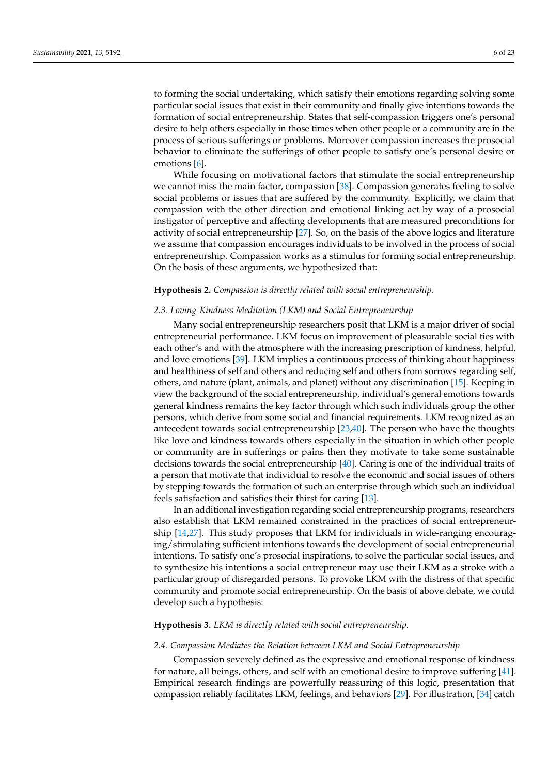to forming the social undertaking, which satisfy their emotions regarding solving some particular social issues that exist in their community and finally give intentions towards the formation of social entrepreneurship. States that self-compassion triggers one's personal desire to help others especially in those times when other people or a community are in the process of serious sufferings or problems. Moreover compassion increases the prosocial behavior to eliminate the sufferings of other people to satisfy one's personal desire or emotions [\[6\]](#page-21-5).

While focusing on motivational factors that stimulate the social entrepreneurship we cannot miss the main factor, compassion [\[38\]](#page-22-9). Compassion generates feeling to solve social problems or issues that are suffered by the community. Explicitly, we claim that compassion with the other direction and emotional linking act by way of a prosocial instigator of perceptive and affecting developments that are measured preconditions for activity of social entrepreneurship [\[27\]](#page-21-26). So, on the basis of the above logics and literature we assume that compassion encourages individuals to be involved in the process of social entrepreneurship. Compassion works as a stimulus for forming social entrepreneurship. On the basis of these arguments, we hypothesized that:

## **Hypothesis 2.** *Compassion is directly related with social entrepreneurship.*

#### *2.3. Loving-Kindness Meditation (LKM) and Social Entrepreneurship*

Many social entrepreneurship researchers posit that LKM is a major driver of social entrepreneurial performance. LKM focus on improvement of pleasurable social ties with each other's and with the atmosphere with the increasing prescription of kindness, helpful, and love emotions [\[39\]](#page-22-10). LKM implies a continuous process of thinking about happiness and healthiness of self and others and reducing self and others from sorrows regarding self, others, and nature (plant, animals, and planet) without any discrimination [\[15\]](#page-21-14). Keeping in view the background of the social entrepreneurship, individual's general emotions towards general kindness remains the key factor through which such individuals group the other persons, which derive from some social and financial requirements. LKM recognized as an antecedent towards social entrepreneurship [\[23,](#page-21-22)[40\]](#page-22-11). The person who have the thoughts like love and kindness towards others especially in the situation in which other people or community are in sufferings or pains then they motivate to take some sustainable decisions towards the social entrepreneurship [\[40\]](#page-22-11). Caring is one of the individual traits of a person that motivate that individual to resolve the economic and social issues of others by stepping towards the formation of such an enterprise through which such an individual feels satisfaction and satisfies their thirst for caring [\[13\]](#page-21-12).

In an additional investigation regarding social entrepreneurship programs, researchers also establish that LKM remained constrained in the practices of social entrepreneurship [\[14,](#page-21-13)[27\]](#page-21-26). This study proposes that LKM for individuals in wide-ranging encouraging/stimulating sufficient intentions towards the development of social entrepreneurial intentions. To satisfy one's prosocial inspirations, to solve the particular social issues, and to synthesize his intentions a social entrepreneur may use their LKM as a stroke with a particular group of disregarded persons. To provoke LKM with the distress of that specific community and promote social entrepreneurship. On the basis of above debate, we could develop such a hypothesis:

## **Hypothesis 3.** *LKM is directly related with social entrepreneurship.*

#### *2.4. Compassion Mediates the Relation between LKM and Social Entrepreneurship*

Compassion severely defined as the expressive and emotional response of kindness for nature, all beings, others, and self with an emotional desire to improve suffering [\[41\]](#page-22-12). Empirical research findings are powerfully reassuring of this logic, presentation that compassion reliably facilitates LKM, feelings, and behaviors [\[29\]](#page-22-0). For illustration, [\[34\]](#page-22-5) catch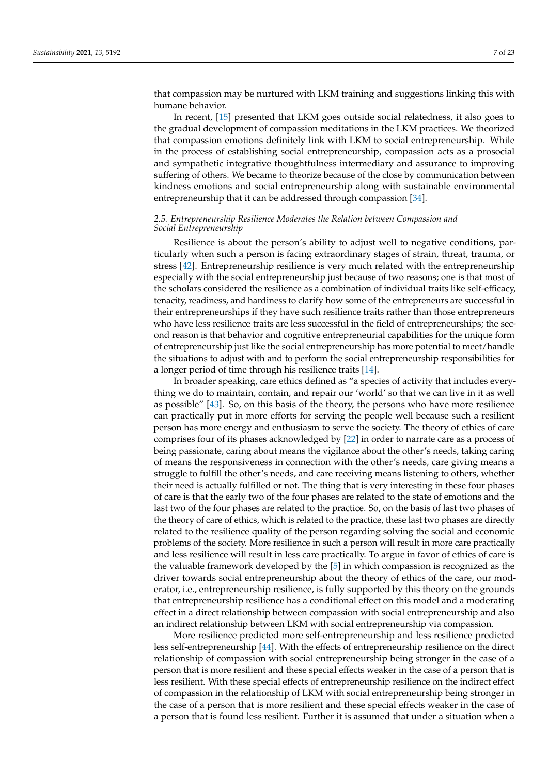that compassion may be nurtured with LKM training and suggestions linking this with humane behavior.

In recent, [\[15\]](#page-21-14) presented that LKM goes outside social relatedness, it also goes to the gradual development of compassion meditations in the LKM practices. We theorized that compassion emotions definitely link with LKM to social entrepreneurship. While in the process of establishing social entrepreneurship, compassion acts as a prosocial and sympathetic integrative thoughtfulness intermediary and assurance to improving suffering of others. We became to theorize because of the close by communication between kindness emotions and social entrepreneurship along with sustainable environmental entrepreneurship that it can be addressed through compassion [\[34\]](#page-22-5).

## *2.5. Entrepreneurship Resilience Moderates the Relation between Compassion and Social Entrepreneurship*

Resilience is about the person's ability to adjust well to negative conditions, particularly when such a person is facing extraordinary stages of strain, threat, trauma, or stress [\[42\]](#page-22-13). Entrepreneurship resilience is very much related with the entrepreneurship especially with the social entrepreneurship just because of two reasons; one is that most of the scholars considered the resilience as a combination of individual traits like self-efficacy, tenacity, readiness, and hardiness to clarify how some of the entrepreneurs are successful in their entrepreneurships if they have such resilience traits rather than those entrepreneurs who have less resilience traits are less successful in the field of entrepreneurships; the second reason is that behavior and cognitive entrepreneurial capabilities for the unique form of entrepreneurship just like the social entrepreneurship has more potential to meet/handle the situations to adjust with and to perform the social entrepreneurship responsibilities for a longer period of time through his resilience traits [\[14\]](#page-21-13).

In broader speaking, care ethics defined as "a species of activity that includes everything we do to maintain, contain, and repair our 'world' so that we can live in it as well as possible" [\[43\]](#page-22-14). So, on this basis of the theory, the persons who have more resilience can practically put in more efforts for serving the people well because such a resilient person has more energy and enthusiasm to serve the society. The theory of ethics of care comprises four of its phases acknowledged by [\[22\]](#page-21-21) in order to narrate care as a process of being passionate, caring about means the vigilance about the other's needs, taking caring of means the responsiveness in connection with the other's needs, care giving means a struggle to fulfill the other's needs, and care receiving means listening to others, whether their need is actually fulfilled or not. The thing that is very interesting in these four phases of care is that the early two of the four phases are related to the state of emotions and the last two of the four phases are related to the practice. So, on the basis of last two phases of the theory of care of ethics, which is related to the practice, these last two phases are directly related to the resilience quality of the person regarding solving the social and economic problems of the society. More resilience in such a person will result in more care practically and less resilience will result in less care practically. To argue in favor of ethics of care is the valuable framework developed by the [\[5\]](#page-21-4) in which compassion is recognized as the driver towards social entrepreneurship about the theory of ethics of the care, our moderator, i.e., entrepreneurship resilience, is fully supported by this theory on the grounds that entrepreneurship resilience has a conditional effect on this model and a moderating effect in a direct relationship between compassion with social entrepreneurship and also an indirect relationship between LKM with social entrepreneurship via compassion.

More resilience predicted more self-entrepreneurship and less resilience predicted less self-entrepreneurship [\[44\]](#page-22-15). With the effects of entrepreneurship resilience on the direct relationship of compassion with social entrepreneurship being stronger in the case of a person that is more resilient and these special effects weaker in the case of a person that is less resilient. With these special effects of entrepreneurship resilience on the indirect effect of compassion in the relationship of LKM with social entrepreneurship being stronger in the case of a person that is more resilient and these special effects weaker in the case of a person that is found less resilient. Further it is assumed that under a situation when a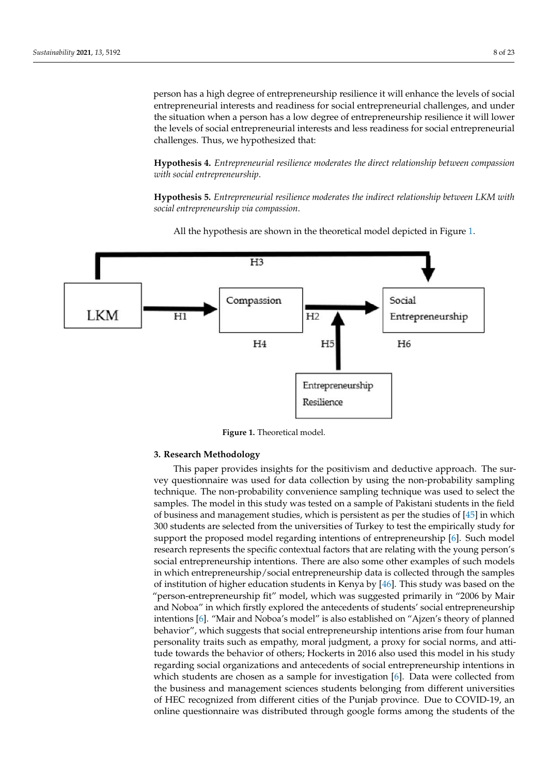person has a high degree of entrepreneurship resilience it will enhance the levels of social entrepreneurial interests and readiness for social entrepreneurial challenges, and under the situation when a person has a low degree of entrepreneurship resilience it will lower the levels of social entrepreneurial interests and less readiness for social entrepreneurial challenges. Thus, we hypothesized that:

**Hypothesis 4.** *Entrepreneurial resilience moderates the direct relationship between compassion with social entrepreneurship*.

**Hypothesis 5.** *Entrepreneurial resilience moderates the indirect relationship between LKM with social entrepreneurship via compassion*.

<span id="page-7-0"></span>

All the hypothesis are shown in the theoretical model depicted in Figure [1.](#page-7-0)

**Figure 1.** Theoretical model.

#### **3. Research Methodology**

This paper provides insights for the positivism and deductive approach. The survey questionnaire was used for data collection by using the non-probability sampling technique. The non-probability convenience sampling technique was used to select the samples. The model in this study was tested on a sample of Pakistani students in the field of business and management studies, which is persistent as per the studies of [\[45\]](#page-22-16) in which 300 students are selected from the universities of Turkey to test the empirically study for support the proposed model regarding intentions of entrepreneurship [\[6\]](#page-21-5). Such model research represents the specific contextual factors that are relating with the young person's social entrepreneurship intentions. There are also some other examples of such models in which entrepreneurship/social entrepreneurship data is collected through the samples of institution of higher education students in Kenya by [\[46\]](#page-22-17). This study was based on the "person-entrepreneurship fit" model, which was suggested primarily in "2006 by Mair and Noboa" in which firstly explored the antecedents of students' social entrepreneurship intentions [\[6\]](#page-21-5). "Mair and Noboa's model" is also established on "Ajzen's theory of planned behavior", which suggests that social entrepreneurship intentions arise from four human personality traits such as empathy, moral judgment, a proxy for social norms, and attitude towards the behavior of others; Hockerts in 2016 also used this model in his study regarding social organizations and antecedents of social entrepreneurship intentions in which students are chosen as a sample for investigation [\[6\]](#page-21-5). Data were collected from the business and management sciences students belonging from different universities of HEC recognized from different cities of the Punjab province. Due to COVID-19, an online questionnaire was distributed through google forms among the students of the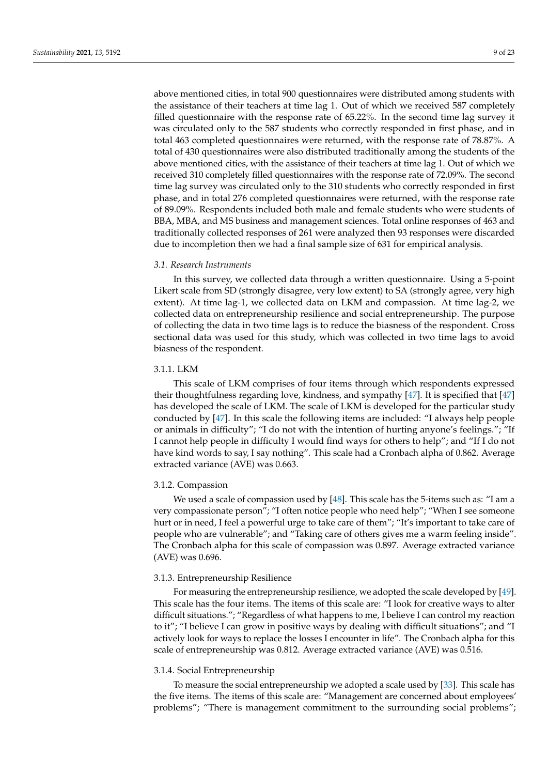above mentioned cities, in total 900 questionnaires were distributed among students with the assistance of their teachers at time lag 1. Out of which we received 587 completely filled questionnaire with the response rate of 65.22%. In the second time lag survey it was circulated only to the 587 students who correctly responded in first phase, and in total 463 completed questionnaires were returned, with the response rate of 78.87%. A total of 430 questionnaires were also distributed traditionally among the students of the above mentioned cities, with the assistance of their teachers at time lag 1. Out of which we received 310 completely filled questionnaires with the response rate of 72.09%. The second time lag survey was circulated only to the 310 students who correctly responded in first phase, and in total 276 completed questionnaires were returned, with the response rate of 89.09%. Respondents included both male and female students who were students of BBA, MBA, and MS business and management sciences. Total online responses of 463 and traditionally collected responses of 261 were analyzed then 93 responses were discarded due to incompletion then we had a final sample size of 631 for empirical analysis.

#### *3.1. Research Instruments*

In this survey, we collected data through a written questionnaire. Using a 5-point Likert scale from SD (strongly disagree, very low extent) to SA (strongly agree, very high extent). At time lag-1, we collected data on LKM and compassion. At time lag-2, we collected data on entrepreneurship resilience and social entrepreneurship. The purpose of collecting the data in two time lags is to reduce the biasness of the respondent. Cross sectional data was used for this study, which was collected in two time lags to avoid biasness of the respondent.

## 3.1.1. LKM

This scale of LKM comprises of four items through which respondents expressed their thoughtfulness regarding love, kindness, and sympathy [\[47\]](#page-22-18). It is specified that [\[47\]](#page-22-18) has developed the scale of LKM. The scale of LKM is developed for the particular study conducted by [\[47\]](#page-22-18). In this scale the following items are included: "I always help people or animals in difficulty"; "I do not with the intention of hurting anyone's feelings."; "If I cannot help people in difficulty I would find ways for others to help"; and "If I do not have kind words to say, I say nothing". This scale had a Cronbach alpha of 0.862. Average extracted variance (AVE) was 0.663.

#### 3.1.2. Compassion

We used a scale of compassion used by [\[48\]](#page-22-19). This scale has the 5-items such as: "I am a very compassionate person"; "I often notice people who need help"; "When I see someone hurt or in need, I feel a powerful urge to take care of them"; "It's important to take care of people who are vulnerable"; and "Taking care of others gives me a warm feeling inside". The Cronbach alpha for this scale of compassion was 0.897. Average extracted variance (AVE) was 0.696.

## 3.1.3. Entrepreneurship Resilience

For measuring the entrepreneurship resilience, we adopted the scale developed by [\[49\]](#page-22-20). This scale has the four items. The items of this scale are: "I look for creative ways to alter difficult situations."; "Regardless of what happens to me, I believe I can control my reaction to it"; "I believe I can grow in positive ways by dealing with difficult situations"; and "I actively look for ways to replace the losses I encounter in life". The Cronbach alpha for this scale of entrepreneurship was 0.812. Average extracted variance (AVE) was 0.516.

#### 3.1.4. Social Entrepreneurship

To measure the social entrepreneurship we adopted a scale used by [\[33\]](#page-22-4). This scale has the five items. The items of this scale are: "Management are concerned about employees' problems"; "There is management commitment to the surrounding social problems";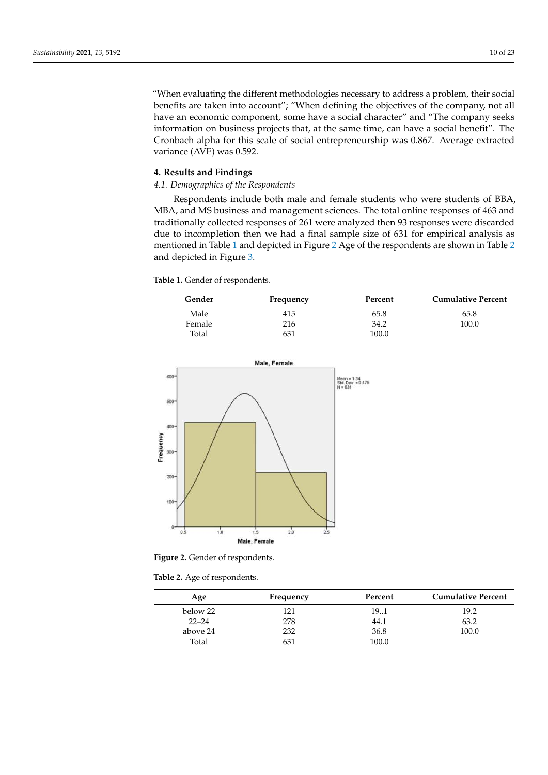"When evaluating the different methodologies necessary to address a problem, their social benefits are taken into account"; "When defining the objectives of the company, not all have an economic component, some have a social character" and "The company seeks information on business projects that, at the same time, can have a social benefit". The Cronbach alpha for this scale of social entrepreneurship was 0.867. Average extracted variance (AVE) was 0.592.

## **4. Results and Findings**

## *4.1. Demographics of the Respondents*

Respondents include both male and female students who were students of BBA, MBA, and MS business and management sciences. The total online responses of 463 and traditionally collected responses of 261 were analyzed then 93 responses were discarded due to incompletion then we had a final sample size of 631 for empirical analysis as mentioned in Table [1](#page-9-0) and depicted in Figure [2](#page-9-1) Age of the respondents are shown in Table [2](#page-9-2) and depicted in Figure [3.](#page-10-0)

<span id="page-9-0"></span>**Table 1.** Gender of respondents.

| Gender | Frequency | Percent | <b>Cumulative Percent</b> |
|--------|-----------|---------|---------------------------|
| Male   | 415       | 65.8    | 65.8                      |
| Female | 216       | 34.2    | 100.0                     |
| Total  | 631       | 100.0   |                           |

<span id="page-9-1"></span>

**Figure 2.** Gender of respondents.

<span id="page-9-2"></span>**Table 2.** Age of respondents.

| Age       | Frequency | Percent | <b>Cumulative Percent</b> |
|-----------|-----------|---------|---------------------------|
| below 22  | 121       | 191     | 19.2                      |
| $22 - 24$ | 278       | 44.1    | 63.2                      |
| above 24  | 232       | 36.8    | 100.0                     |
| Total     | 631       | 100.0   |                           |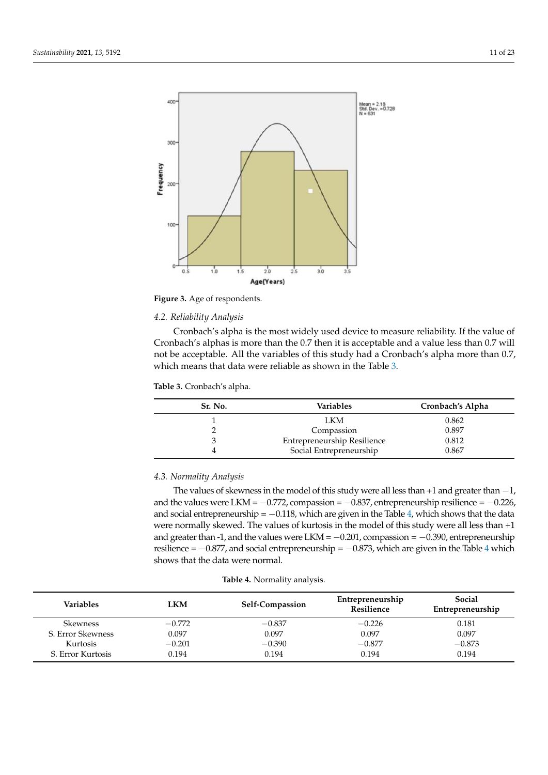<span id="page-10-0"></span>

**Figure 3.** Age of respondents.

## *4.2. Reliability Analysis*

Cronbach's alpha is the most widely used device to measure reliability. If the value of Cronbach's alphas is more than the 0.7 then it is acceptable and a value less than 0.7 will not be acceptable. All the variables of this study had a Cronbach's alpha more than 0.7, which means that data were reliable as shown in the Table [3.](#page-10-1)

<span id="page-10-1"></span>**Table 3.** Cronbach's alpha.

| Sr. No. | <b>Variables</b>            | Cronbach's Alpha |
|---------|-----------------------------|------------------|
|         | LKM                         | 0.862            |
|         | Compassion                  | 0.897            |
|         | Entrepreneurship Resilience | 0.812            |
|         | Social Entrepreneurship     | 0.867            |

## *4.3. Normality Analysis*

The values of skewness in the model of this study were all less than +1 and greater than -1, and the values were LKM =  $-0.772$ , compassion =  $-0.837$ , entrepreneurship resilience =  $-0.226$ , and social entrepreneurship =  $-0.118$ , which are given in the Table [4,](#page-10-2) which shows that the data were normally skewed. The values of kurtosis in the model of this study were all less than +1 and greater than -1, and the values were LKM =  $-0.201$ , compassion =  $-0.390$ , entrepreneurship resilience =  $-0.877$ , and social entrepreneurship =  $-0.873$ , which are given in the Table [4](#page-10-2) which shows that the data were normal.

<span id="page-10-2"></span>

| <b>Variables</b>  | <b>LKM</b> | Self-Compassion | Entrepreneurship<br><b>Resilience</b> | Social<br>Entrepreneurship |
|-------------------|------------|-----------------|---------------------------------------|----------------------------|
| <b>Skewness</b>   | $-0.772$   | $-0.837$        | $-0.226$                              | 0.181                      |
| S. Error Skewness | 0.097      | 0.097           | 0.097                                 | 0.097                      |
| Kurtosis          | $-0.201$   | $-0.390$        | $-0.877$                              | $-0.873$                   |
| S. Error Kurtosis | 0.194      | 0.194           | 0.194                                 | 0.194                      |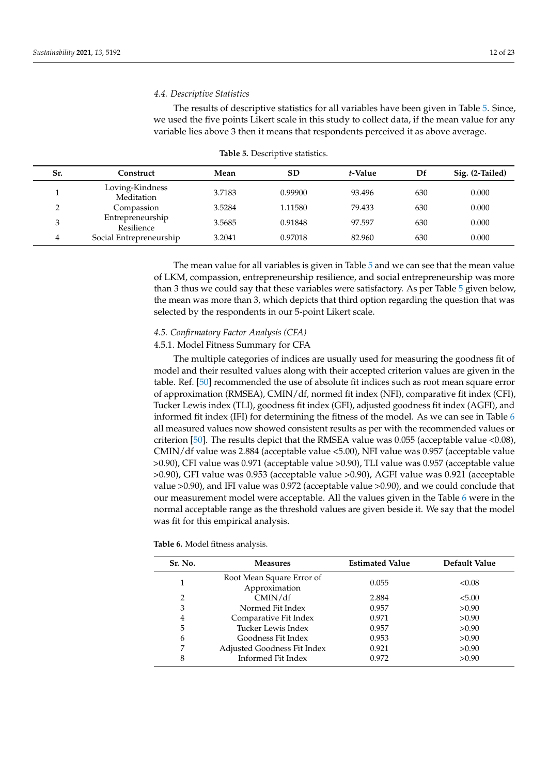#### *4.4. Descriptive Statistics*

The results of descriptive statistics for all variables have been given in Table [5.](#page-11-0) Since, we used the five points Likert scale in this study to collect data, if the mean value for any variable lies above 3 then it means that respondents perceived it as above average.

<span id="page-11-0"></span>

| Sr. | Construct                      | Mean   | <b>SD</b> | t-Value | Df  | Sig. (2-Tailed) |
|-----|--------------------------------|--------|-----------|---------|-----|-----------------|
|     | Loving-Kindness<br>Meditation  | 3.7183 | 0.99900   | 93.496  | 630 | 0.000           |
| ◠   | Compassion                     | 3.5284 | 1.11580   | 79.433  | 630 | 0.000           |
| 3   | Entrepreneurship<br>Resilience | 3.5685 | 0.91848   | 97.597  | 630 | 0.000           |
| 4   | Social Entrepreneurship        | 3.2041 | 0.97018   | 82.960  | 630 | 0.000           |

| Table 5. Descriptive statistics. |
|----------------------------------|
|----------------------------------|

The mean value for all variables is given in Table [5](#page-11-0) and we can see that the mean value of LKM, compassion, entrepreneurship resilience, and social entrepreneurship was more than 3 thus we could say that these variables were satisfactory. As per Table [5](#page-11-0) given below, the mean was more than 3, which depicts that third option regarding the question that was selected by the respondents in our 5-point Likert scale.

#### *4.5. Confirmatory Factor Analysis (CFA)*

### 4.5.1. Model Fitness Summary for CFA

The multiple categories of indices are usually used for measuring the goodness fit of model and their resulted values along with their accepted criterion values are given in the table. Ref. [\[50\]](#page-22-21) recommended the use of absolute fit indices such as root mean square error of approximation (RMSEA), CMIN/df, normed fit index (NFI), comparative fit index (CFI), Tucker Lewis index (TLI), goodness fit index (GFI), adjusted goodness fit index (AGFI), and informed fit index (IFI) for determining the fitness of the model. As we can see in Table [6](#page-11-1) all measured values now showed consistent results as per with the recommended values or criterion [\[50\]](#page-22-21). The results depict that the RMSEA value was 0.055 (acceptable value <0.08), CMIN/df value was 2.884 (acceptable value <5.00), NFI value was 0.957 (acceptable value >0.90), CFI value was 0.971 (acceptable value >0.90), TLI value was 0.957 (acceptable value >0.90), GFI value was 0.953 (acceptable value >0.90), AGFI value was 0.921 (acceptable value >0.90), and IFI value was 0.972 (acceptable value >0.90), and we could conclude that our measurement model were acceptable. All the values given in the Table [6](#page-11-1) were in the normal acceptable range as the threshold values are given beside it. We say that the model was fit for this empirical analysis.

<span id="page-11-1"></span>

|  |  | Table 6. Model fitness analysis. |
|--|--|----------------------------------|
|  |  |                                  |

| Sr. No. | <b>Measures</b>                            | <b>Estimated Value</b> | Default Value |
|---------|--------------------------------------------|------------------------|---------------|
|         | Root Mean Square Error of<br>Approximation | 0.055                  | < 0.08        |
| 2       | CMIN/df                                    | 2.884                  | < 5.00        |
| 3       | Normed Fit Index                           | 0.957                  | >0.90         |
| 4       | Comparative Fit Index                      | 0.971                  | >0.90         |
| 5       | Tucker Lewis Index                         | 0.957                  | >0.90         |
| 6       | Goodness Fit Index                         | 0.953                  | >0.90         |
| 7       | Adjusted Goodness Fit Index                | 0.921                  | >0.90         |
| 8       | Informed Fit Index                         | 0.972                  | >0.90         |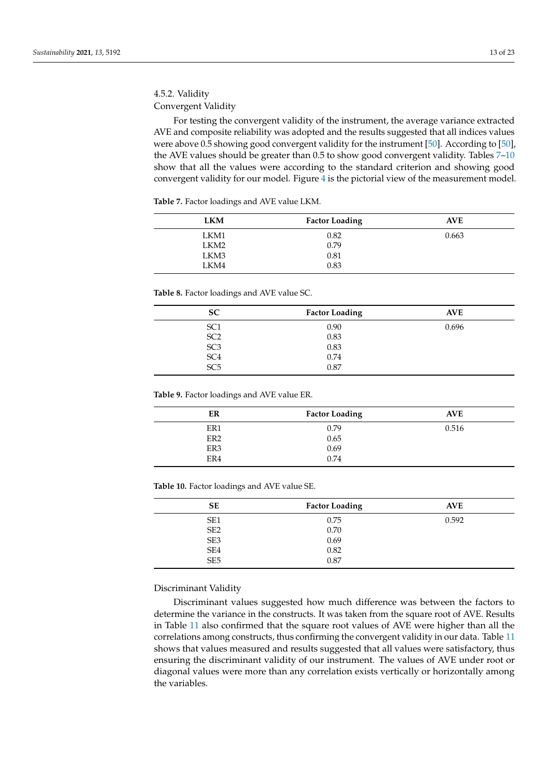## 4.5.2. Validity Convergent Validity

For testing the convergent validity of the instrument, the average variance extracted AVE and composite reliability was adopted and the results suggested that all indices values were above 0.5 showing good convergent validity for the instrument [\[50\]](#page-22-21). According to [\[50\]](#page-22-21), the AVE values should be greater than 0.5 to show good convergent validity. Tables [7](#page-12-0)-10 show that all the values were according to the standard criterion and showing good convergent validity for our model. Figure [4](#page-13-0) is the pictorial view of the measurement model.

<span id="page-12-0"></span>**Table 7.** Factor loadings and AVE value LKM.

| <b>LKM</b>       | <b>Factor Loading</b> | <b>AVE</b> |
|------------------|-----------------------|------------|
| LKM1             | 0.82                  | 0.663      |
| LKM <sub>2</sub> | 0.79                  |            |
| LKM3             | 0.81                  |            |
| LKM4             | 0.83                  |            |

**Table 8.** Factor loadings and AVE value SC.

| <b>SC</b>       | <b>Factor Loading</b> | <b>AVE</b> |
|-----------------|-----------------------|------------|
| SC <sub>1</sub> | 0.90                  | 0.696      |
| SC <sub>2</sub> | 0.83                  |            |
| SC <sub>3</sub> | 0.83                  |            |
| SC <sub>4</sub> | 0.74                  |            |
| SC <sub>5</sub> | 0.87                  |            |

**Table 9.** Factor loadings and AVE value ER.

| ER              | <b>Factor Loading</b> | <b>AVE</b> |
|-----------------|-----------------------|------------|
| ER1             | 0.79                  | 0.516      |
| ER <sub>2</sub> | 0.65                  |            |
| ER3             | 0.69                  |            |
| ER4             | 0.74                  |            |

<span id="page-12-1"></span>**Table 10.** Factor loadings and AVE value SE.

| <b>SE</b>       | <b>Factor Loading</b> | <b>AVE</b> |
|-----------------|-----------------------|------------|
| SE <sub>1</sub> | 0.75                  | 0.592      |
| SE <sub>2</sub> | 0.70                  |            |
| SE <sub>3</sub> | 0.69                  |            |
| SE4             | 0.82                  |            |
| SE <sub>5</sub> | 0.87                  |            |

## Discriminant Validity

Discriminant values suggested how much difference was between the factors to determine the variance in the constructs. It was taken from the square root of AVE. Results in Table [11](#page-13-1) also confirmed that the square root values of AVE were higher than all the correlations among constructs, thus confirming the convergent validity in our data. Table [11](#page-13-1) shows that values measured and results suggested that all values were satisfactory, thus ensuring the discriminant validity of our instrument. The values of AVE under root or diagonal values were more than any correlation exists vertically or horizontally among the variables.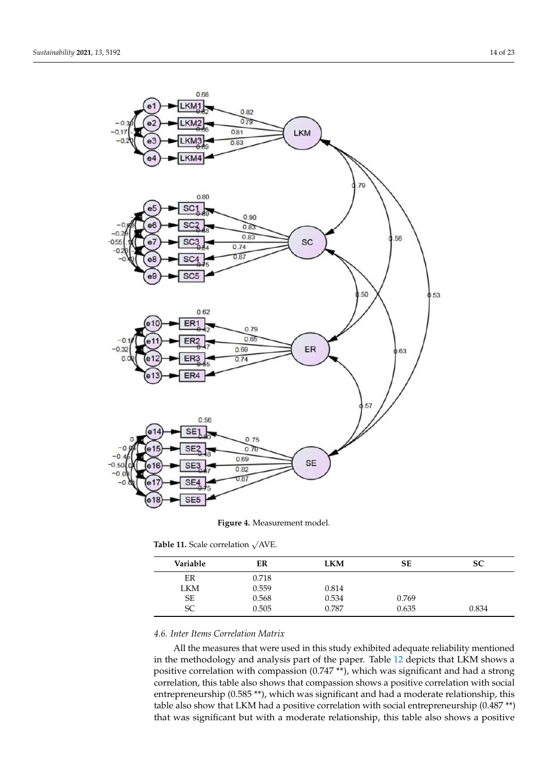<span id="page-13-0"></span>

**Figure 4.** Measurement model.

<span id="page-13-1"></span>

| Table 11. Scale correlation $\sqrt{\text{AVE}}$ . |  |
|---------------------------------------------------|--|

| Variable  | ER    | LKM   | SЕ    | SС    |
|-----------|-------|-------|-------|-------|
| ER        | 0.718 |       |       |       |
| LKM       | 0.559 | 0.814 |       |       |
| <b>SE</b> | 0.568 | 0.534 | 0.769 |       |
| <b>SC</b> | 0.505 | 0.787 | 0.635 | 0.834 |

## *4.6. Inter Items Correlation Matrix*

All the measures that were used in this study exhibited adequate reliability mentioned in the methodology and analysis part of the paper. Table [12](#page-14-0) depicts that LKM shows a positive correlation with compassion (0.747 \*\*), which was significant and had a strong correlation, this table also shows that compassion shows a positive correlation with social entrepreneurship  $(0.585**)$ , which was significant and had a moderate relationship, this table also show that LKM had a positive correlation with social entrepreneurship (0.487 \*\*) that was significant but with a moderate relationship, this table also shows a positive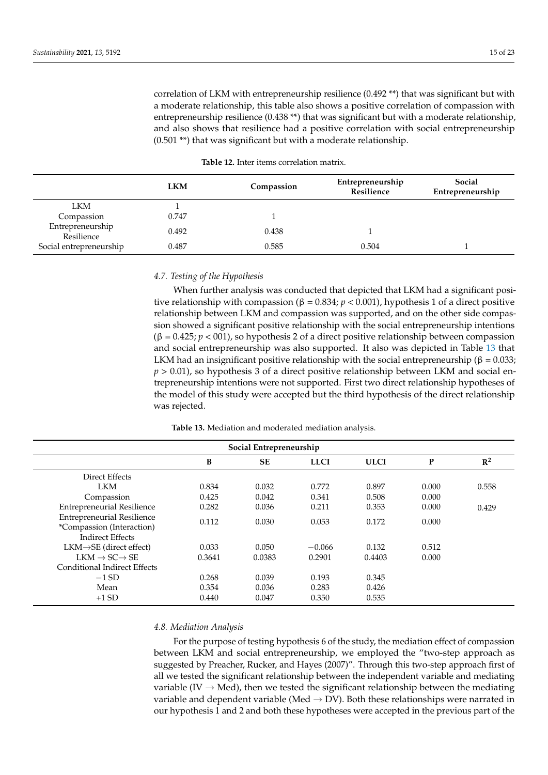correlation of LKM with entrepreneurship resilience (0.492 \*\*) that was significant but with a moderate relationship, this table also shows a positive correlation of compassion with entrepreneurship resilience (0.438 \*\*) that was significant but with a moderate relationship, and also shows that resilience had a positive correlation with social entrepreneurship (0.501 \*\*) that was significant but with a moderate relationship.

<span id="page-14-0"></span>

|                                | <b>LKM</b> | Compassion | Entrepreneurship<br>Resilience | Social<br>Entrepreneurship |
|--------------------------------|------------|------------|--------------------------------|----------------------------|
| LKM                            |            |            |                                |                            |
| Compassion                     | 0.747      |            |                                |                            |
| Entrepreneurship<br>Resilience | 0.492      | 0.438      |                                |                            |
| Social entrepreneurship        | 0.487      | 0.585      | 0.504                          |                            |

| <b>Table 12.</b> Inter items correlation matrix. |
|--------------------------------------------------|
|                                                  |

## *4.7. Testing of the Hypothesis*

When further analysis was conducted that depicted that LKM had a significant positive relationship with compassion ( $β = 0.834; p < 0.001$ ), hypothesis 1 of a direct positive relationship between LKM and compassion was supported, and on the other side compassion showed a significant positive relationship with the social entrepreneurship intentions  $(β = 0.425; p < 001)$ , so hypothesis 2 of a direct positive relationship between compassion and social entrepreneurship was also supported. It also was depicted in Table [13](#page-14-1) that LKM had an insignificant positive relationship with the social entrepreneurship ( $\beta = 0.033$ ; *p* > 0.01), so hypothesis 3 of a direct positive relationship between LKM and social entrepreneurship intentions were not supported. First two direct relationship hypotheses of the model of this study were accepted but the third hypothesis of the direct relationship was rejected.

| Table 13. Mediation and moderated mediation analysis. |  |
|-------------------------------------------------------|--|
|-------------------------------------------------------|--|

<span id="page-14-1"></span>

| Social Entrepreneurship                                                                   |        |           |             |             |       |       |
|-------------------------------------------------------------------------------------------|--------|-----------|-------------|-------------|-------|-------|
|                                                                                           | B      | <b>SE</b> | <b>LLCI</b> | <b>ULCI</b> | P     | $R^2$ |
| Direct Effects                                                                            |        |           |             |             |       |       |
| <b>LKM</b>                                                                                | 0.834  | 0.032     | 0.772       | 0.897       | 0.000 | 0.558 |
| Compassion                                                                                | 0.425  | 0.042     | 0.341       | 0.508       | 0.000 |       |
| <b>Entrepreneurial Resilience</b>                                                         | 0.282  | 0.036     | 0.211       | 0.353       | 0.000 | 0.429 |
| <b>Entrepreneurial Resilience</b><br>*Compassion (Interaction)<br><b>Indirect Effects</b> | 0.112  | 0.030     | 0.053       | 0.172       | 0.000 |       |
| $LKM \rightarrow SE$ (direct effect)                                                      | 0.033  | 0.050     | $-0.066$    | 0.132       | 0.512 |       |
| $LKM \rightarrow SC \rightarrow SE$                                                       | 0.3641 | 0.0383    | 0.2901      | 0.4403      | 0.000 |       |
| Conditional Indirect Effects                                                              |        |           |             |             |       |       |
| $-1$ SD                                                                                   | 0.268  | 0.039     | 0.193       | 0.345       |       |       |
| Mean                                                                                      | 0.354  | 0.036     | 0.283       | 0.426       |       |       |
| $+1$ SD                                                                                   | 0.440  | 0.047     | 0.350       | 0.535       |       |       |

#### *4.8. Mediation Analysis*

For the purpose of testing hypothesis 6 of the study, the mediation effect of compassion between LKM and social entrepreneurship, we employed the "two-step approach as suggested by Preacher, Rucker, and Hayes (2007)". Through this two-step approach first of all we tested the significant relationship between the independent variable and mediating variable (IV  $\rightarrow$  Med), then we tested the significant relationship between the mediating variable and dependent variable (Med  $\rightarrow$  DV). Both these relationships were narrated in our hypothesis 1 and 2 and both these hypotheses were accepted in the previous part of the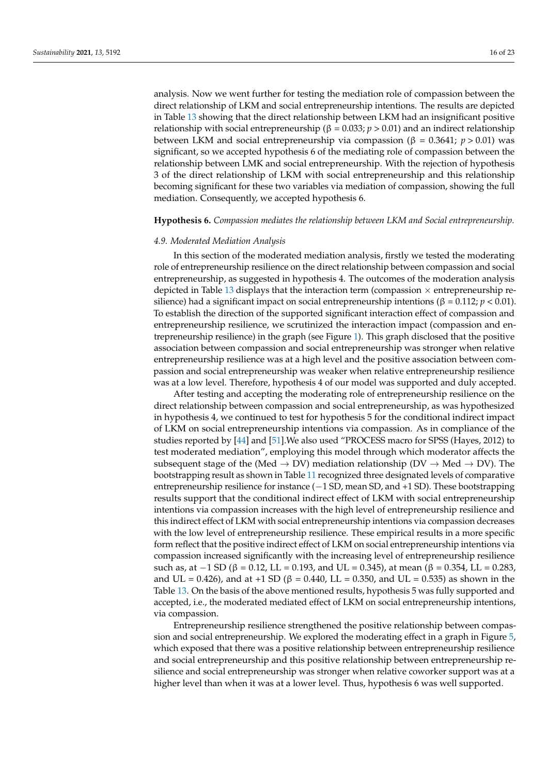analysis. Now we went further for testing the mediation role of compassion between the direct relationship of LKM and social entrepreneurship intentions. The results are depicted in Table [13](#page-14-1) showing that the direct relationship between LKM had an insignificant positive relationship with social entrepreneurship ( $β = 0.033; p > 0.01$ ) and an indirect relationship between LKM and social entrepreneurship via compassion (β = 0.3641; *p* > 0.01) was significant, so we accepted hypothesis 6 of the mediating role of compassion between the relationship between LMK and social entrepreneurship. With the rejection of hypothesis 3 of the direct relationship of LKM with social entrepreneurship and this relationship becoming significant for these two variables via mediation of compassion, showing the full mediation. Consequently, we accepted hypothesis 6.

#### **Hypothesis 6.** *Compassion mediates the relationship between LKM and Social entrepreneurship.*

#### *4.9. Moderated Mediation Analysis*

In this section of the moderated mediation analysis, firstly we tested the moderating role of entrepreneurship resilience on the direct relationship between compassion and social entrepreneurship, as suggested in hypothesis 4. The outcomes of the moderation analysis depicted in Table [13](#page-14-1) displays that the interaction term (compassion  $\times$  entrepreneurship resilience) had a significant impact on social entrepreneurship intentions (β =  $0.112$ ; *p* < 0.01). To establish the direction of the supported significant interaction effect of compassion and entrepreneurship resilience, we scrutinized the interaction impact (compassion and entrepreneurship resilience) in the graph (see Figure [1\)](#page-7-0). This graph disclosed that the positive association between compassion and social entrepreneurship was stronger when relative entrepreneurship resilience was at a high level and the positive association between compassion and social entrepreneurship was weaker when relative entrepreneurship resilience was at a low level. Therefore, hypothesis 4 of our model was supported and duly accepted.

After testing and accepting the moderating role of entrepreneurship resilience on the direct relationship between compassion and social entrepreneurship, as was hypothesized in hypothesis 4, we continued to test for hypothesis 5 for the conditional indirect impact of LKM on social entrepreneurship intentions via compassion. As in compliance of the studies reported by [\[44\]](#page-22-15) and [\[51\]](#page-22-22).We also used "PROCESS macro for SPSS (Hayes, 2012) to test moderated mediation", employing this model through which moderator affects the subsequent stage of the (Med  $\rightarrow$  DV) mediation relationship (DV  $\rightarrow$  Med  $\rightarrow$  DV). The bootstrapping result as shown in Table [11](#page-13-1) recognized three designated levels of comparative entrepreneurship resilience for instance (−1 SD, mean SD, and +1 SD). These bootstrapping results support that the conditional indirect effect of LKM with social entrepreneurship intentions via compassion increases with the high level of entrepreneurship resilience and this indirect effect of LKM with social entrepreneurship intentions via compassion decreases with the low level of entrepreneurship resilience. These empirical results in a more specific form reflect that the positive indirect effect of LKM on social entrepreneurship intentions via compassion increased significantly with the increasing level of entrepreneurship resilience such as, at  $-1$  SD ( $\beta$  = 0.12, LL = 0.193, and UL = 0.345), at mean ( $\beta$  = 0.354, LL = 0.283, and UL = 0.426), and at +1 SD (β = 0.440, LL = 0.350, and UL = 0.535) as shown in the Table [13.](#page-14-1) On the basis of the above mentioned results, hypothesis 5 was fully supported and accepted, i.e., the moderated mediated effect of LKM on social entrepreneurship intentions, via compassion.

Entrepreneurship resilience strengthened the positive relationship between compassion and social entrepreneurship. We explored the moderating effect in a graph in Figure [5,](#page-16-0) which exposed that there was a positive relationship between entrepreneurship resilience and social entrepreneurship and this positive relationship between entrepreneurship resilience and social entrepreneurship was stronger when relative coworker support was at a higher level than when it was at a lower level. Thus, hypothesis 6 was well supported.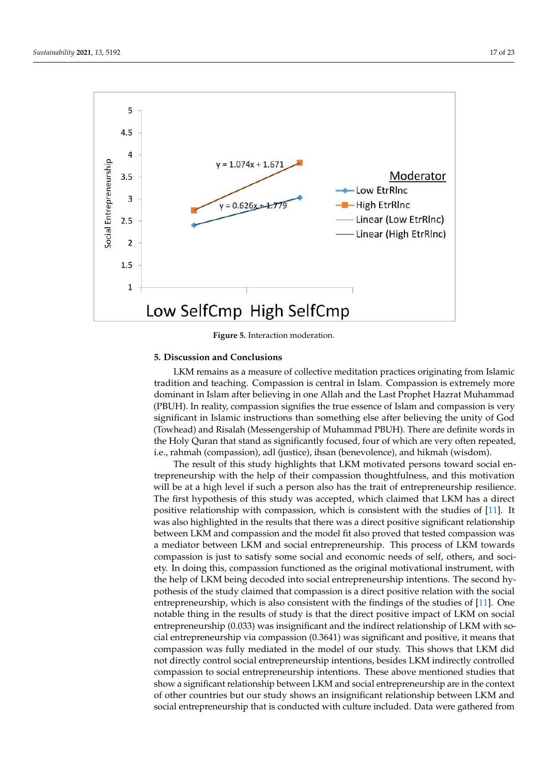<span id="page-16-0"></span>

**Figure 5.** Interaction moderation.

## **5. Discussion and Conclusions**

LKM remains as a measure of collective meditation practices originating from Islamic tradition and teaching. Compassion is central in Islam. Compassion is extremely more dominant in Islam after believing in one Allah and the Last Prophet Hazrat Muhammad (PBUH). In reality, compassion signifies the true essence of Islam and compassion is very significant in Islamic instructions than something else after believing the unity of God (Towhead) and Risalah (Messengership of Muhammad PBUH). There are definite words in the Holy Quran that stand as significantly focused, four of which are very often repeated, i.e., rahmah (compassion), adl (justice), ihsan (benevolence), and hikmah (wisdom).

The result of this study highlights that LKM motivated persons toward social entrepreneurship with the help of their compassion thoughtfulness, and this motivation will be at a high level if such a person also has the trait of entrepreneurship resilience. The first hypothesis of this study was accepted, which claimed that LKM has a direct positive relationship with compassion, which is consistent with the studies of [\[11\]](#page-21-10). It was also highlighted in the results that there was a direct positive significant relationship between LKM and compassion and the model fit also proved that tested compassion was a mediator between LKM and social entrepreneurship. This process of LKM towards compassion is just to satisfy some social and economic needs of self, others, and society. In doing this, compassion functioned as the original motivational instrument, with the help of LKM being decoded into social entrepreneurship intentions. The second hypothesis of the study claimed that compassion is a direct positive relation with the social entrepreneurship, which is also consistent with the findings of the studies of [\[11\]](#page-21-10). One notable thing in the results of study is that the direct positive impact of LKM on social entrepreneurship (0.033) was insignificant and the indirect relationship of LKM with social entrepreneurship via compassion (0.3641) was significant and positive, it means that compassion was fully mediated in the model of our study. This shows that LKM did not directly control social entrepreneurship intentions, besides LKM indirectly controlled compassion to social entrepreneurship intentions. These above mentioned studies that show a significant relationship between LKM and social entrepreneurship are in the context of other countries but our study shows an insignificant relationship between LKM and social entrepreneurship that is conducted with culture included. Data were gathered from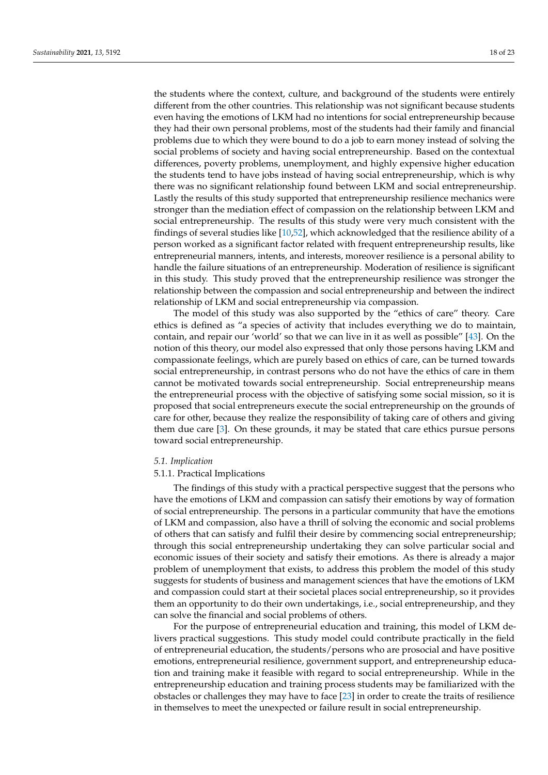the students where the context, culture, and background of the students were entirely different from the other countries. This relationship was not significant because students even having the emotions of LKM had no intentions for social entrepreneurship because they had their own personal problems, most of the students had their family and financial problems due to which they were bound to do a job to earn money instead of solving the social problems of society and having social entrepreneurship. Based on the contextual differences, poverty problems, unemployment, and highly expensive higher education the students tend to have jobs instead of having social entrepreneurship, which is why there was no significant relationship found between LKM and social entrepreneurship. Lastly the results of this study supported that entrepreneurship resilience mechanics were stronger than the mediation effect of compassion on the relationship between LKM and social entrepreneurship. The results of this study were very much consistent with the findings of several studies like [\[10](#page-21-9)[,52\]](#page-22-23), which acknowledged that the resilience ability of a person worked as a significant factor related with frequent entrepreneurship results, like entrepreneurial manners, intents, and interests, moreover resilience is a personal ability to handle the failure situations of an entrepreneurship. Moderation of resilience is significant in this study. This study proved that the entrepreneurship resilience was stronger the relationship between the compassion and social entrepreneurship and between the indirect relationship of LKM and social entrepreneurship via compassion.

The model of this study was also supported by the "ethics of care" theory. Care ethics is defined as "a species of activity that includes everything we do to maintain, contain, and repair our 'world' so that we can live in it as well as possible" [\[43\]](#page-22-14). On the notion of this theory, our model also expressed that only those persons having LKM and compassionate feelings, which are purely based on ethics of care, can be turned towards social entrepreneurship, in contrast persons who do not have the ethics of care in them cannot be motivated towards social entrepreneurship. Social entrepreneurship means the entrepreneurial process with the objective of satisfying some social mission, so it is proposed that social entrepreneurs execute the social entrepreneurship on the grounds of care for other, because they realize the responsibility of taking care of others and giving them due care [\[3\]](#page-21-2). On these grounds, it may be stated that care ethics pursue persons toward social entrepreneurship.

#### *5.1. Implication*

#### 5.1.1. Practical Implications

The findings of this study with a practical perspective suggest that the persons who have the emotions of LKM and compassion can satisfy their emotions by way of formation of social entrepreneurship. The persons in a particular community that have the emotions of LKM and compassion, also have a thrill of solving the economic and social problems of others that can satisfy and fulfil their desire by commencing social entrepreneurship; through this social entrepreneurship undertaking they can solve particular social and economic issues of their society and satisfy their emotions. As there is already a major problem of unemployment that exists, to address this problem the model of this study suggests for students of business and management sciences that have the emotions of LKM and compassion could start at their societal places social entrepreneurship, so it provides them an opportunity to do their own undertakings, i.e., social entrepreneurship, and they can solve the financial and social problems of others.

For the purpose of entrepreneurial education and training, this model of LKM delivers practical suggestions. This study model could contribute practically in the field of entrepreneurial education, the students/persons who are prosocial and have positive emotions, entrepreneurial resilience, government support, and entrepreneurship education and training make it feasible with regard to social entrepreneurship. While in the entrepreneurship education and training process students may be familiarized with the obstacles or challenges they may have to face [\[23\]](#page-21-22) in order to create the traits of resilience in themselves to meet the unexpected or failure result in social entrepreneurship.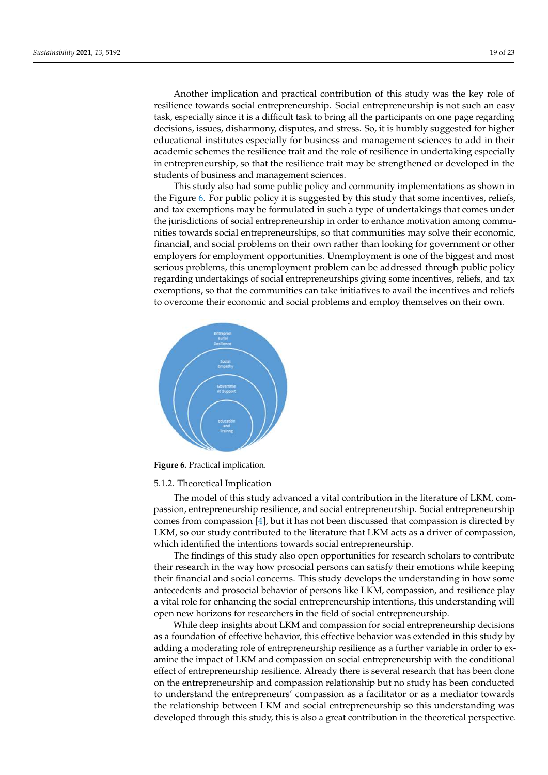Another implication and practical contribution of this study was the key role of resilience towards social entrepreneurship. Social entrepreneurship is not such an easy task, especially since it is a difficult task to bring all the participants on one page regarding decisions, issues, disharmony, disputes, and stress. So, it is humbly suggested for higher educational institutes especially for business and management sciences to add in their academic schemes the resilience trait and the role of resilience in undertaking especially in entrepreneurship, so that the resilience trait may be strengthened or developed in the students of business and management sciences.

This study also had some public policy and community implementations as shown in the Figure [6.](#page-18-0) For public policy it is suggested by this study that some incentives, reliefs, and tax exemptions may be formulated in such a type of undertakings that comes under the jurisdictions of social entrepreneurship in order to enhance motivation among communities towards social entrepreneurships, so that communities may solve their economic, financial, and social problems on their own rather than looking for government or other employers for employment opportunities. Unemployment is one of the biggest and most serious problems, this unemployment problem can be addressed through public policy regarding undertakings of social entrepreneurships giving some incentives, reliefs, and tax exemptions, so that the communities can take initiatives to avail the incentives and reliefs to overcome their economic and social problems and employ themselves on their own.

<span id="page-18-0"></span>

**Figure 6.** Practical implication.

#### 5.1.2. Theoretical Implication

The model of this study advanced a vital contribution in the literature of LKM, compassion, entrepreneurship resilience, and social entrepreneurship. Social entrepreneurship comes from compassion [\[4\]](#page-21-3), but it has not been discussed that compassion is directed by LKM, so our study contributed to the literature that LKM acts as a driver of compassion, which identified the intentions towards social entrepreneurship.

The findings of this study also open opportunities for research scholars to contribute their research in the way how prosocial persons can satisfy their emotions while keeping their financial and social concerns. This study develops the understanding in how some antecedents and prosocial behavior of persons like LKM, compassion, and resilience play a vital role for enhancing the social entrepreneurship intentions, this understanding will open new horizons for researchers in the field of social entrepreneurship.

While deep insights about LKM and compassion for social entrepreneurship decisions as a foundation of effective behavior, this effective behavior was extended in this study by adding a moderating role of entrepreneurship resilience as a further variable in order to examine the impact of LKM and compassion on social entrepreneurship with the conditional effect of entrepreneurship resilience. Already there is several research that has been done on the entrepreneurship and compassion relationship but no study has been conducted to understand the entrepreneurs' compassion as a facilitator or as a mediator towards the relationship between LKM and social entrepreneurship so this understanding was developed through this study, this is also a great contribution in the theoretical perspective.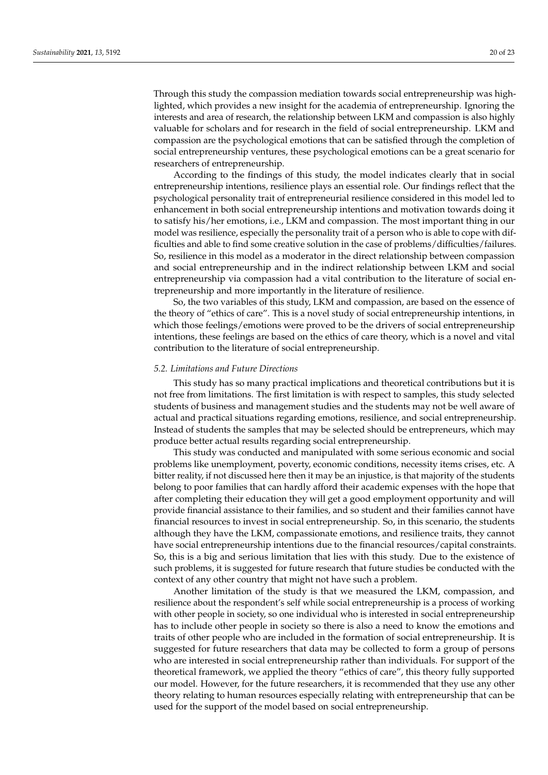Through this study the compassion mediation towards social entrepreneurship was highlighted, which provides a new insight for the academia of entrepreneurship. Ignoring the interests and area of research, the relationship between LKM and compassion is also highly valuable for scholars and for research in the field of social entrepreneurship. LKM and compassion are the psychological emotions that can be satisfied through the completion of social entrepreneurship ventures, these psychological emotions can be a great scenario for researchers of entrepreneurship.

According to the findings of this study, the model indicates clearly that in social entrepreneurship intentions, resilience plays an essential role. Our findings reflect that the psychological personality trait of entrepreneurial resilience considered in this model led to enhancement in both social entrepreneurship intentions and motivation towards doing it to satisfy his/her emotions, i.e., LKM and compassion. The most important thing in our model was resilience, especially the personality trait of a person who is able to cope with difficulties and able to find some creative solution in the case of problems/difficulties/failures. So, resilience in this model as a moderator in the direct relationship between compassion and social entrepreneurship and in the indirect relationship between LKM and social entrepreneurship via compassion had a vital contribution to the literature of social entrepreneurship and more importantly in the literature of resilience.

So, the two variables of this study, LKM and compassion, are based on the essence of the theory of "ethics of care". This is a novel study of social entrepreneurship intentions, in which those feelings/emotions were proved to be the drivers of social entrepreneurship intentions, these feelings are based on the ethics of care theory, which is a novel and vital contribution to the literature of social entrepreneurship.

## *5.2. Limitations and Future Directions*

This study has so many practical implications and theoretical contributions but it is not free from limitations. The first limitation is with respect to samples, this study selected students of business and management studies and the students may not be well aware of actual and practical situations regarding emotions, resilience, and social entrepreneurship. Instead of students the samples that may be selected should be entrepreneurs, which may produce better actual results regarding social entrepreneurship.

This study was conducted and manipulated with some serious economic and social problems like unemployment, poverty, economic conditions, necessity items crises, etc. A bitter reality, if not discussed here then it may be an injustice, is that majority of the students belong to poor families that can hardly afford their academic expenses with the hope that after completing their education they will get a good employment opportunity and will provide financial assistance to their families, and so student and their families cannot have financial resources to invest in social entrepreneurship. So, in this scenario, the students although they have the LKM, compassionate emotions, and resilience traits, they cannot have social entrepreneurship intentions due to the financial resources/capital constraints. So, this is a big and serious limitation that lies with this study. Due to the existence of such problems, it is suggested for future research that future studies be conducted with the context of any other country that might not have such a problem.

Another limitation of the study is that we measured the LKM, compassion, and resilience about the respondent's self while social entrepreneurship is a process of working with other people in society, so one individual who is interested in social entrepreneurship has to include other people in society so there is also a need to know the emotions and traits of other people who are included in the formation of social entrepreneurship. It is suggested for future researchers that data may be collected to form a group of persons who are interested in social entrepreneurship rather than individuals. For support of the theoretical framework, we applied the theory "ethics of care", this theory fully supported our model. However, for the future researchers, it is recommended that they use any other theory relating to human resources especially relating with entrepreneurship that can be used for the support of the model based on social entrepreneurship.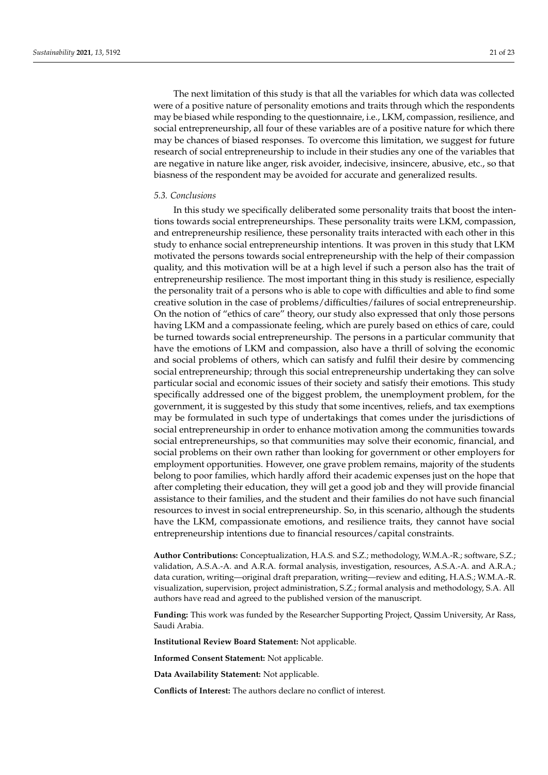The next limitation of this study is that all the variables for which data was collected were of a positive nature of personality emotions and traits through which the respondents may be biased while responding to the questionnaire, i.e., LKM, compassion, resilience, and social entrepreneurship, all four of these variables are of a positive nature for which there may be chances of biased responses. To overcome this limitation, we suggest for future research of social entrepreneurship to include in their studies any one of the variables that are negative in nature like anger, risk avoider, indecisive, insincere, abusive, etc., so that biasness of the respondent may be avoided for accurate and generalized results.

## *5.3. Conclusions*

In this study we specifically deliberated some personality traits that boost the intentions towards social entrepreneurships. These personality traits were LKM, compassion, and entrepreneurship resilience, these personality traits interacted with each other in this study to enhance social entrepreneurship intentions. It was proven in this study that LKM motivated the persons towards social entrepreneurship with the help of their compassion quality, and this motivation will be at a high level if such a person also has the trait of entrepreneurship resilience. The most important thing in this study is resilience, especially the personality trait of a persons who is able to cope with difficulties and able to find some creative solution in the case of problems/difficulties/failures of social entrepreneurship. On the notion of "ethics of care" theory, our study also expressed that only those persons having LKM and a compassionate feeling, which are purely based on ethics of care, could be turned towards social entrepreneurship. The persons in a particular community that have the emotions of LKM and compassion, also have a thrill of solving the economic and social problems of others, which can satisfy and fulfil their desire by commencing social entrepreneurship; through this social entrepreneurship undertaking they can solve particular social and economic issues of their society and satisfy their emotions. This study specifically addressed one of the biggest problem, the unemployment problem, for the government, it is suggested by this study that some incentives, reliefs, and tax exemptions may be formulated in such type of undertakings that comes under the jurisdictions of social entrepreneurship in order to enhance motivation among the communities towards social entrepreneurships, so that communities may solve their economic, financial, and social problems on their own rather than looking for government or other employers for employment opportunities. However, one grave problem remains, majority of the students belong to poor families, which hardly afford their academic expenses just on the hope that after completing their education, they will get a good job and they will provide financial assistance to their families, and the student and their families do not have such financial resources to invest in social entrepreneurship. So, in this scenario, although the students have the LKM, compassionate emotions, and resilience traits, they cannot have social entrepreneurship intentions due to financial resources/capital constraints.

**Author Contributions:** Conceptualization, H.A.S. and S.Z.; methodology, W.M.A.-R.; software, S.Z.; validation, A.S.A.-A. and A.R.A. formal analysis, investigation, resources, A.S.A.-A. and A.R.A.; data curation, writing—original draft preparation, writing—review and editing, H.A.S.; W.M.A.-R. visualization, supervision, project administration, S.Z.; formal analysis and methodology, S.A. All authors have read and agreed to the published version of the manuscript.

**Funding:** This work was funded by the Researcher Supporting Project, Qassim University, Ar Rass, Saudi Arabia.

**Institutional Review Board Statement:** Not applicable.

**Informed Consent Statement:** Not applicable.

**Data Availability Statement:** Not applicable.

**Conflicts of Interest:** The authors declare no conflict of interest.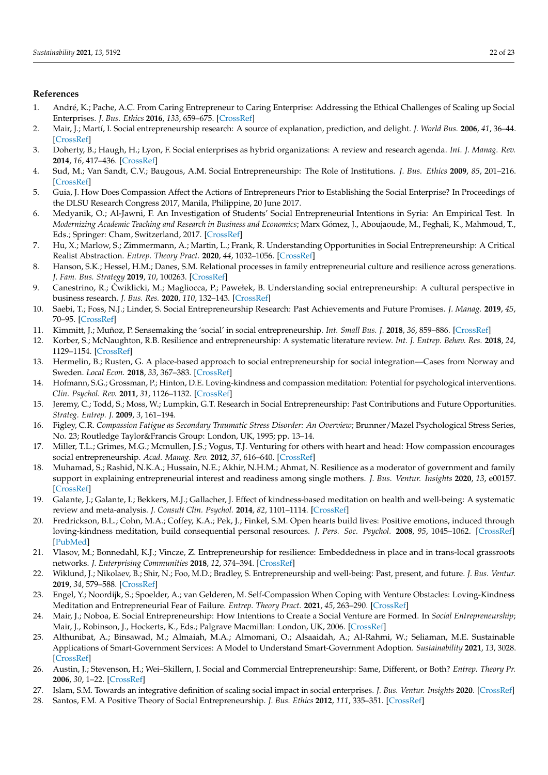## **References**

- <span id="page-21-0"></span>1. André, K.; Pache, A.C. From Caring Entrepreneur to Caring Enterprise: Addressing the Ethical Challenges of Scaling up Social Enterprises. *J. Bus. Ethics* **2016**, *133*, 659–675. [\[CrossRef\]](http://doi.org/10.1007/s10551-014-2445-8)
- <span id="page-21-1"></span>2. Mair, J.; Martí, I. Social entrepreneurship research: A source of explanation, prediction, and delight. *J. World Bus.* **2006**, *41*, 36–44. [\[CrossRef\]](http://doi.org/10.1016/j.jwb.2005.09.002)
- <span id="page-21-2"></span>3. Doherty, B.; Haugh, H.; Lyon, F. Social enterprises as hybrid organizations: A review and research agenda. *Int. J. Manag. Rev.* **2014**, *16*, 417–436. [\[CrossRef\]](http://doi.org/10.1111/ijmr.12028)
- <span id="page-21-3"></span>4. Sud, M.; Van Sandt, C.V.; Baugous, A.M. Social Entrepreneurship: The Role of Institutions. *J. Bus. Ethics* **2009**, *85*, 201–216. [\[CrossRef\]](http://doi.org/10.1007/s10551-008-9939-1)
- <span id="page-21-4"></span>5. Guia, J. How Does Compassion Affect the Actions of Entrepreneurs Prior to Establishing the Social Enterprise? In Proceedings of the DLSU Research Congress 2017, Manila, Philippine, 20 June 2017.
- <span id="page-21-5"></span>6. Medyanik, O.; Al-Jawni, F. An Investigation of Students' Social Entrepreneurial Intentions in Syria: An Empirical Test. In *Modernizing Academic Teaching and Research in Business and Economics*; Marx Gómez, J., Aboujaoude, M., Feghali, K., Mahmoud, T., Eds.; Springer: Cham, Switzerland, 2017. [\[CrossRef\]](http://doi.org/10.1007/978-3-319-54419-9_5)
- <span id="page-21-6"></span>7. Hu, X.; Marlow, S.; Zimmermann, A.; Martin, L.; Frank, R. Understanding Opportunities in Social Entrepreneurship: A Critical Realist Abstraction. *Entrep. Theory Pract.* **2020**, *44*, 1032–1056. [\[CrossRef\]](http://doi.org/10.1177/1042258719879633)
- <span id="page-21-7"></span>8. Hanson, S.K.; Hessel, H.M.; Danes, S.M. Relational processes in family entrepreneurial culture and resilience across generations. *J. Fam. Bus. Strategy* **2019**, *10*, 100263. [\[CrossRef\]](http://doi.org/10.1016/j.jfbs.2018.11.001)
- <span id="page-21-8"></span>9. Canestrino, R.; Cwiklicki, M.; Magliocca, P.; Pawełek, B. Understanding social entrepreneurship: A cultural perspective in ´ business research. *J. Bus. Res.* **2020**, *110*, 132–143. [\[CrossRef\]](http://doi.org/10.1016/j.jbusres.2020.01.006)
- <span id="page-21-9"></span>10. Saebi, T.; Foss, N.J.; Linder, S. Social Entrepreneurship Research: Past Achievements and Future Promises. *J. Manag.* **2019**, *45*, 70–95. [\[CrossRef\]](http://doi.org/10.1177/0149206318793196)
- <span id="page-21-10"></span>11. Kimmitt, J.; Muñoz, P. Sensemaking the 'social' in social entrepreneurship. *Int. Small Bus. J.* **2018**, *36*, 859–886. [\[CrossRef\]](http://doi.org/10.1177/0266242618789230)
- <span id="page-21-11"></span>12. Korber, S.; McNaughton, R.B. Resilience and entrepreneurship: A systematic literature review. *Int. J. Entrep. Behav. Res.* **2018**, *24*, 1129–1154. [\[CrossRef\]](http://doi.org/10.1108/IJEBR-10-2016-0356)
- <span id="page-21-12"></span>13. Hermelin, B.; Rusten, G. A place-based approach to social entrepreneurship for social integration—Cases from Norway and Sweden. *Local Econ.* **2018**, *33*, 367–383. [\[CrossRef\]](http://doi.org/10.1177/0269094218777900)
- <span id="page-21-13"></span>14. Hofmann, S.G.; Grossman, P.; Hinton, D.E. Loving-kindness and compassion meditation: Potential for psychological interventions. *Clin. Psychol. Rev.* **2011**, *31*, 1126–1132. [\[CrossRef\]](http://doi.org/10.1016/j.cpr.2011.07.003)
- <span id="page-21-14"></span>15. Jeremy, C.; Todd, S.; Moss, W.; Lumpkin, G.T. Research in Social Entrepreneurship: Past Contributions and Future Opportunities. *Strateg. Entrep. J.* **2009**, *3*, 161–194.
- <span id="page-21-15"></span>16. Figley, C.R. *Compassion Fatigue as Secondary Traumatic Stress Disorder: An Overview*; Brunner/Mazel Psychological Stress Series, No. 23; Routledge Taylor&Francis Group: London, UK, 1995; pp. 13–14.
- <span id="page-21-16"></span>17. Miller, T.L.; Grimes, M.G.; Mcmullen, J.S.; Vogus, T.J. Venturing for others with heart and head: How compassion encourages social entrepreneurship. *Acad. Manag. Rev.* **2012**, *37*, 616–640. [\[CrossRef\]](http://doi.org/10.5465/amr.2010.0456)
- <span id="page-21-17"></span>18. Muhamad, S.; Rashid, N.K.A.; Hussain, N.E.; Akhir, N.H.M.; Ahmat, N. Resilience as a moderator of government and family support in explaining entrepreneurial interest and readiness among single mothers. *J. Bus. Ventur. Insights* **2020**, *13*, e00157. [\[CrossRef\]](http://doi.org/10.1016/j.jbvi.2020.e00157)
- <span id="page-21-18"></span>19. Galante, J.; Galante, I.; Bekkers, M.J.; Gallacher, J. Effect of kindness-based meditation on health and well-being: A systematic review and meta-analysis. *J. Consult Clin. Psychol.* **2014**, *82*, 1101–1114. [\[CrossRef\]](http://doi.org/10.1037/a0037249)
- <span id="page-21-19"></span>20. Fredrickson, B.L.; Cohn, M.A.; Coffey, K.A.; Pek, J.; Finkel, S.M. Open hearts build lives: Positive emotions, induced through loving-kindness meditation, build consequential personal resources. *J. Pers. Soc. Psychol.* **2008**, *95*, 1045–1062. [\[CrossRef\]](http://doi.org/10.1037/a0013262) [\[PubMed\]](http://www.ncbi.nlm.nih.gov/pubmed/18954193)
- <span id="page-21-20"></span>21. Vlasov, M.; Bonnedahl, K.J.; Vincze, Z. Entrepreneurship for resilience: Embeddedness in place and in trans-local grassroots networks. *J. Enterprising Communities* **2018**, *12*, 374–394. [\[CrossRef\]](http://doi.org/10.1108/JEC-12-2017-0100)
- <span id="page-21-21"></span>22. Wiklund, J.; Nikolaev, B.; Shir, N.; Foo, M.D.; Bradley, S. Entrepreneurship and well-being: Past, present, and future. *J. Bus. Ventur.* **2019**, *34*, 579–588. [\[CrossRef\]](http://doi.org/10.1016/j.jbusvent.2019.01.002)
- <span id="page-21-22"></span>23. Engel, Y.; Noordijk, S.; Spoelder, A.; van Gelderen, M. Self-Compassion When Coping with Venture Obstacles: Loving-Kindness Meditation and Entrepreneurial Fear of Failure. *Entrep. Theory Pract.* **2021**, *45*, 263–290. [\[CrossRef\]](http://doi.org/10.1177/1042258719890991)
- <span id="page-21-23"></span>24. Mair, J.; Noboa, E. Social Entrepreneurship: How Intentions to Create a Social Venture are Formed. In *Social Entrepreneurship*; Mair, J., Robinson, J., Hockerts, K., Eds.; Palgrave Macmillan: London, UK, 2006. [\[CrossRef\]](http://doi.org/10.1057/9780230625655_8)
- <span id="page-21-24"></span>25. Althunibat, A.; Binsawad, M.; Almaiah, M.A.; Almomani, O.; Alsaaidah, A.; Al-Rahmi, W.; Seliaman, M.E. Sustainable Applications of Smart-Government Services: A Model to Understand Smart-Government Adoption. *Sustainability* **2021**, *13*, 3028. [\[CrossRef\]](http://doi.org/10.3390/su13063028)
- <span id="page-21-25"></span>26. Austin, J.; Stevenson, H.; Wei–Skillern, J. Social and Commercial Entrepreneurship: Same, Different, or Both? *Entrep. Theory Pr.* **2006**, *30*, 1–22. [\[CrossRef\]](http://doi.org/10.1111/j.1540-6520.2006.00107.x)
- <span id="page-21-26"></span>27. Islam, S.M. Towards an integrative definition of scaling social impact in social enterprises. *J. Bus. Ventur. Insights* **2020**. [\[CrossRef\]](http://doi.org/10.1016/j.jbvi.2020.e00164)
- <span id="page-21-27"></span>28. Santos, F.M. A Positive Theory of Social Entrepreneurship. *J. Bus. Ethics* **2012**, *111*, 335–351. [\[CrossRef\]](http://doi.org/10.1007/s10551-012-1413-4)